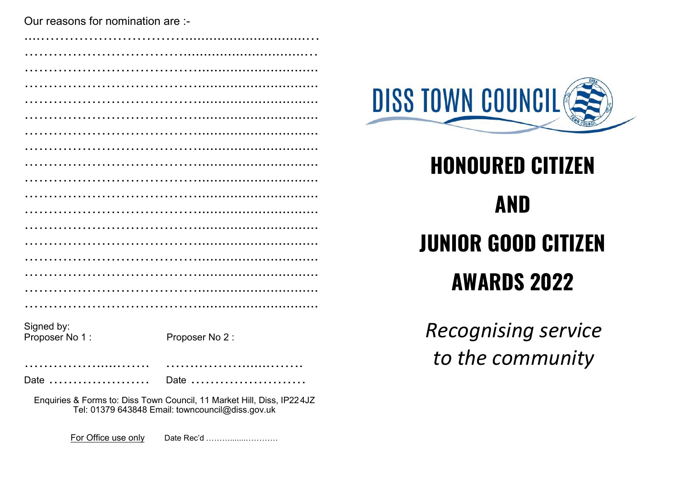Our reasons for nomination are :-

| Signed by:<br>Proposer No 1:                                                                                               | Proposer No 2: |  |
|----------------------------------------------------------------------------------------------------------------------------|----------------|--|
|                                                                                                                            |                |  |
| Date $\ldots \ldots \ldots \ldots \ldots \ldots$                                                                           | Date $\ldots$  |  |
| Enquiries & Forms to: Diss Town Council, 11 Market Hill, Diss, IP224JZ<br>Tel: 01379 643848 Email: towncouncil@diss.gov.uk |                |  |

**DISS TOWN COUNCIL** 

# **HONOURED CITIZEN AND JUNIOR GOOD CITIZEN AWARDS 2022**

**Recognising service** to the community

For Office use only Date Rec'd .............................